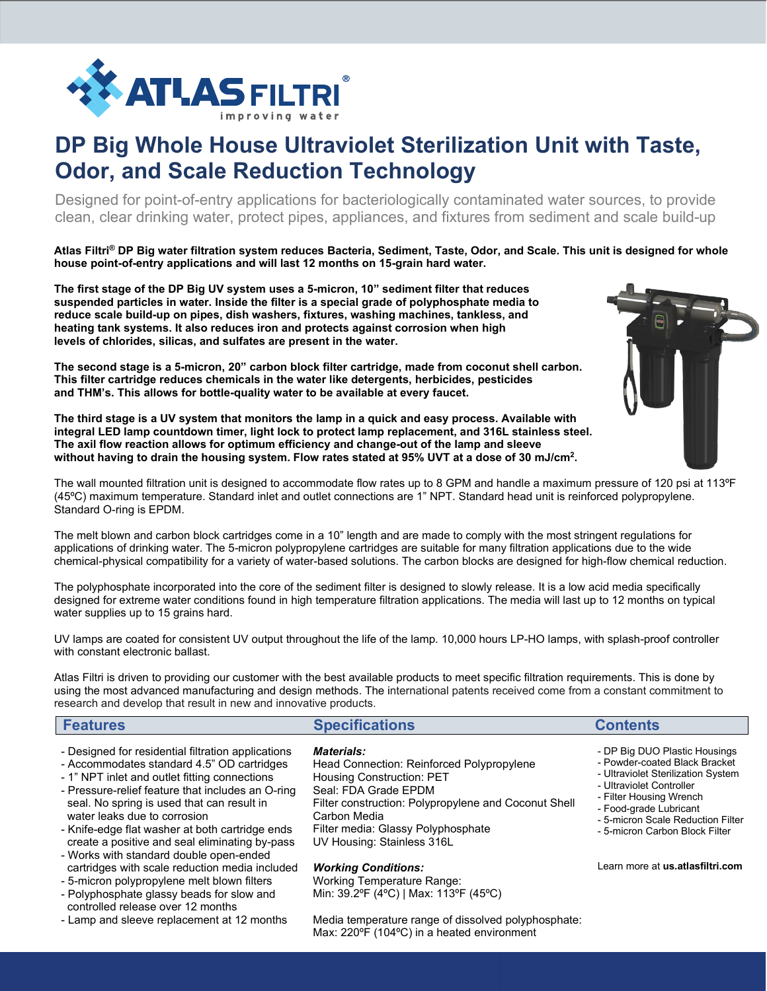

# **DP Big Whole House Ultraviolet Sterilization Unit with Taste, Odor, and Scale Reduction Technology**

Designed for point-of-entry applications for bacteriologically contaminated water sources, to provide clean, clear drinking water, protect pipes, appliances, and fixtures from sediment and scale build-up

**Atlas Filtri® DP Big water filtration system reduces Bacteria, Sediment, Taste, Odor, and Scale. This unit is designed for whole house point-of-entry applications and will last 12 months on 15-grain hard water.** 

**The first stage of the DP Big UV system uses a 5-micron, 10" sediment filter that reduces suspended particles in water. Inside the filter is a special grade of polyphosphate media to reduce scale build-up on pipes, dish washers, fixtures, washing machines, tankless, and heating tank systems. It also reduces iron and protects against corrosion when high levels of chlorides, silicas, and sulfates are present in the water.** 

**The second stage is a 5-micron, 20" carbon block filter cartridge, made from coconut shell carbon. This filter cartridge reduces chemicals in the water like detergents, herbicides, pesticides and THM's. This allows for bottle-quality water to be available at every faucet.** 



**The third stage is a UV system that monitors the lamp in a quick and easy process. Available with integral LED lamp countdown timer, light lock to protect lamp replacement, and 316L stainless steel. The axil flow reaction allows for optimum efficiency and change-out of the lamp and sleeve without having to drain the housing system. Flow rates stated at 95% UVT at a dose of 30 mJ/cm2.** 

The wall mounted filtration unit is designed to accommodate flow rates up to 8 GPM and handle a maximum pressure of 120 psi at 113ºF (45ºC) maximum temperature. Standard inlet and outlet connections are 1" NPT. Standard head unit is reinforced polypropylene. Standard O-ring is EPDM.

The melt blown and carbon block cartridges come in a 10" length and are made to comply with the most stringent regulations for applications of drinking water. The 5-micron polypropylene cartridges are suitable for many filtration applications due to the wide chemical-physical compatibility for a variety of water-based solutions. The carbon blocks are designed for high-flow chemical reduction.

The polyphosphate incorporated into the core of the sediment filter is designed to slowly release. It is a low acid media specifically designed for extreme water conditions found in high temperature filtration applications. The media will last up to 12 months on typical water supplies up to 15 grains hard.

UV lamps are coated for consistent UV output throughout the life of the lamp. 10,000 hours LP-HO lamps, with splash-proof controller with constant electronic ballast.

Atlas Filtri is driven to providing our customer with the best available products to meet specific filtration requirements. This is done by using the most advanced manufacturing and design methods. The international patents received come from a constant commitment to research and develop that result in new and innovative products.

## **Features Contents Contents Contents**

- Designed for residential filtration applications
- Accommodates standard 4.5" OD cartridges - 1" NPT inlet and outlet fitting connections
- Pressure-relief feature that includes an O-ring
- seal. No spring is used that can result in water leaks due to corrosion
- Knife-edge flat washer at both cartridge ends create a positive and seal eliminating by-pass
- Works with standard double open-ended cartridges with scale reduction media included
- 5-micron polypropylene melt blown filters
- Polyphosphate glassy beads for slow and controlled release over 12 months
- Lamp and sleeve replacement at 12 months

#### *Materials:*

Head Connection: Reinforced Polypropylene Housing Construction: PET Seal: FDA Grade EPDM Filter construction: Polypropylene and Coconut Shell Carbon Media Filter media: Glassy Polyphosphate UV Housing: Stainless 316L

*Working Conditions:*

Working Temperature Range: Min: 39.2ºF (4ºC) | Max: 113ºF (45ºC)

Media temperature range of dissolved polyphosphate: Max: 220ºF (104ºC) in a heated environment

- DP Big DUO Plastic Housings
- Powder-coated Black Bracket
- Ultraviolet Sterilization System
- Ultraviolet Controller
- Filter Housing Wrench
- Food-grade Lubricant
- 5-micron Scale Reduction Filter
- 5-micron Carbon Block Filter

Learn more at **us.atlasfiltri.com**